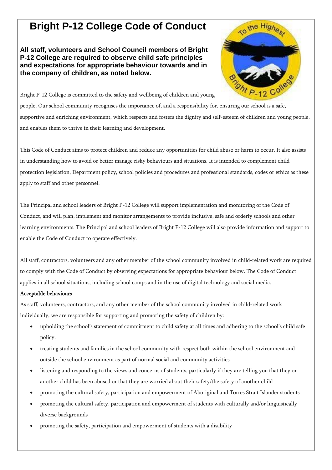## **Bright P-12 College Code of Conduct**

**All staff, volunteers and School Council members of Bright P-12 College are required to observe child safe principles and expectations for appropriate behaviour towards and in the company of children, as noted below.**



Bright P-12 College is committed to the safety and wellbeing of children and young people. Our school community recognises the importance of, and a responsibility for, ensuring our school is a safe, supportive and enriching environment, which respects and fosters the dignity and self-esteem of children and young people, and enables them to thrive in their learning and development.

This Code of Conduct aims to protect children and reduce any opportunities for child abuse or harm to occur. It also assists in understanding how to avoid or better manage risky behaviours and situations. It is intended to complement child protection legislation, Department policy, school policies and procedures and professional standards, codes or ethics as these apply to staff and other personnel.

The Principal and school leaders of Bright P-12 College will support implementation and monitoring of the Code of Conduct, and will plan, implement and monitor arrangements to provide inclusive, safe and orderly schools and other learning environments. The Principal and school leaders of Bright P-12 College will also provide information and support to enable the Code of Conduct to operate effectively.

All staff, contractors, volunteers and any other member of the school community involved in child-related work are required to comply with the Code of Conduct by observing expectations for appropriate behaviour below. The Code of Conduct applies in all school situations, including school camps and in the use of digital technology and social media.

## Acceptable behaviours

As staff, volunteers, contractors, and any other member of the school community involved in child-related work individually, we are responsible for supporting and promoting the safety of children by:

- upholding the school's statement of commitment to child safety at all times and adhering to the school's child safe policy.
- treating students and families in the school community with respect both within the school environment and outside the school environment as part of normal social and community activities.
- listening and responding to the views and concerns of students, particularly if they are telling you that they or another child has been abused or that they are worried about their safety/the safety of another child
- promoting the cultural safety, participation and empowerment of Aboriginal and Torres Strait Islander students
- promoting the cultural safety, participation and empowerment of students with culturally and/or linguistically diverse backgrounds
- promoting the safety, participation and empowerment of students with a disability